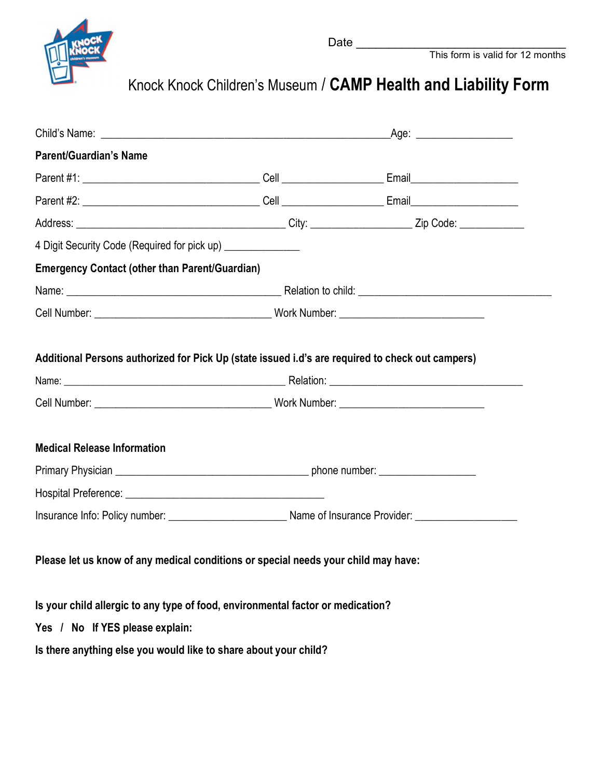

Knock Knock Children's Museum / CAMP Health and Liability Form

| <b>Parent/Guardian's Name</b>                                                                    |  |  |  |
|--------------------------------------------------------------------------------------------------|--|--|--|
|                                                                                                  |  |  |  |
|                                                                                                  |  |  |  |
|                                                                                                  |  |  |  |
| 4 Digit Security Code (Required for pick up) _______________                                     |  |  |  |
| <b>Emergency Contact (other than Parent/Guardian)</b>                                            |  |  |  |
|                                                                                                  |  |  |  |
|                                                                                                  |  |  |  |
| Additional Persons authorized for Pick Up (state issued i.d's are required to check out campers) |  |  |  |
| <b>Medical Release Information</b>                                                               |  |  |  |
|                                                                                                  |  |  |  |
|                                                                                                  |  |  |  |
| Please let us know of any medical conditions or special needs your child may have:               |  |  |  |
| Is your child allergic to any type of food, environmental factor or medication?                  |  |  |  |
| Yes / No If YES please explain:                                                                  |  |  |  |
| Is there anything else you would like to share about your child?                                 |  |  |  |